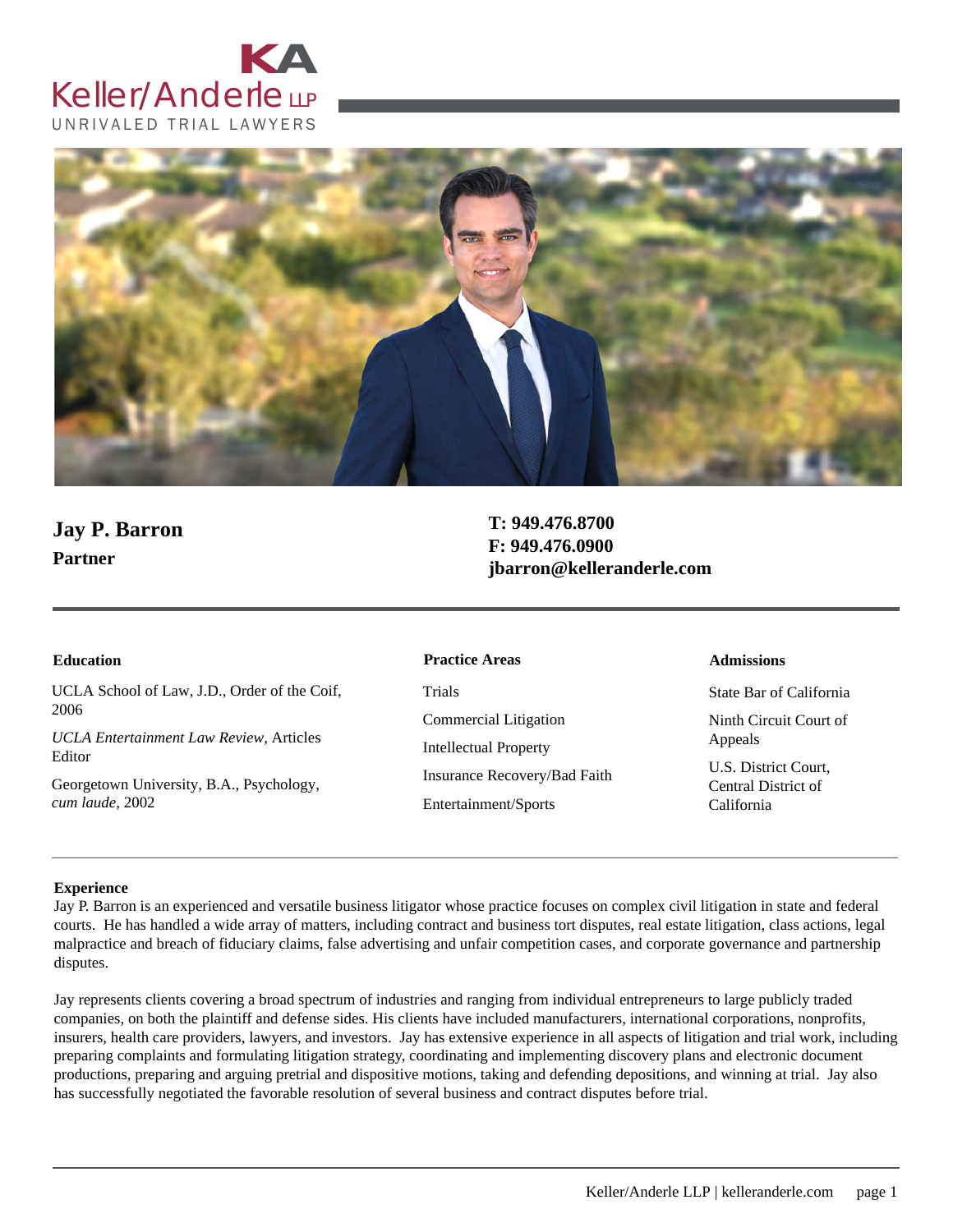



# **Jay P. Barron Partner**

**T: 949.476.8700 F: 949.476.0900 jbarron@kelleranderle.com**

UCLA School of Law, J.D., Order of the Coif, 2006

*UCLA Entertainment Law Review*, Articles Editor

Georgetown University, B.A., Psychology, *cum laude*, 2002

#### **Education Admissions Practice Areas**

Trials Commercial Litigation Intellectual Property Insurance Recovery/Bad Faith Entertainment/Sports

State Bar of California Ninth Circuit Court of Appeals

U.S. District Court, Central District of California

#### **Experience**

Jay P. Barron is an experienced and versatile business litigator whose practice focuses on complex civil litigation in state and federal courts. He has handled a wide array of matters, including contract and business tort disputes, real estate litigation, class actions, legal malpractice and breach of fiduciary claims, false advertising and unfair competition cases, and corporate governance and partnership disputes.

Jay represents clients covering a broad spectrum of industries and ranging from individual entrepreneurs to large publicly traded companies, on both the plaintiff and defense sides. His clients have included manufacturers, international corporations, nonprofits, insurers, health care providers, lawyers, and investors. Jay has extensive experience in all aspects of litigation and trial work, including preparing complaints and formulating litigation strategy, coordinating and implementing discovery plans and electronic document productions, preparing and arguing pretrial and dispositive motions, taking and defending depositions, and winning at trial. Jay also has successfully negotiated the favorable resolution of several business and contract disputes before trial.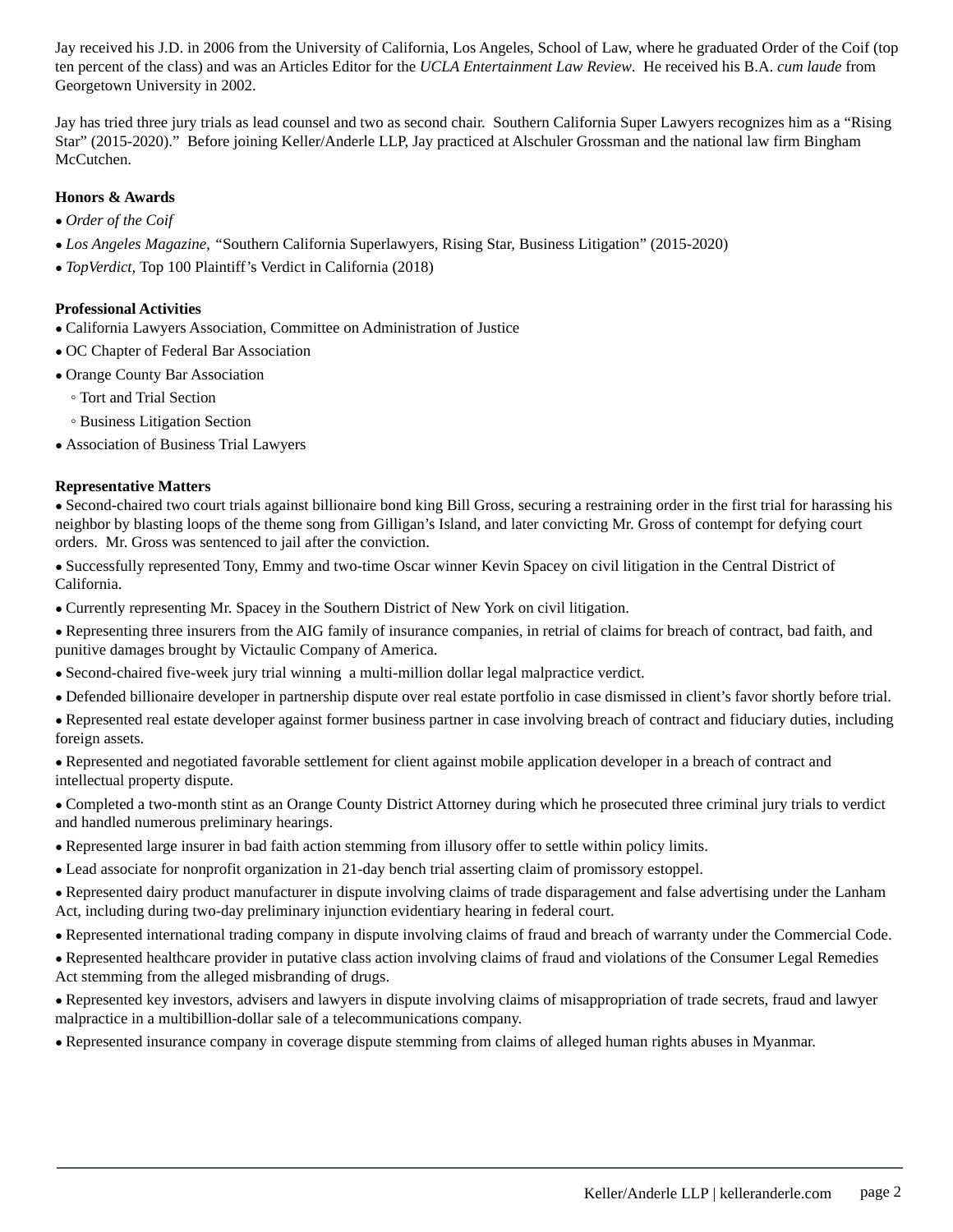Jay received his J.D. in 2006 from the University of California, Los Angeles, School of Law, where he graduated Order of the Coif (top ten percent of the class) and was an Articles Editor for the *UCLA Entertainment Law Review*. He received his B.A. *cum laude* from Georgetown University in 2002.

Jay has tried three jury trials as lead counsel and two as second chair. Southern California Super Lawyers recognizes him as a "Rising Star" (2015-2020)." Before joining Keller/Anderle LLP, Jay practiced at Alschuler Grossman and the national law firm Bingham McCutchen.

## **Honors & Awards**

- *● Order of the Coif*
- *● Los Angeles Magazine, "*Southern California Superlawyers, Rising Star, Business Litigation" (2015-2020)
- *● TopVerdict,* Top 100 Plaintiff's Verdict in California (2018)

### **Professional Activities**

- *●* California Lawyers Association, Committee on Administration of Justice
- *●* OC Chapter of Federal Bar Association
- *●* Orange County Bar Association
	- Tort and Trial Section
	- Business Litigation Section
- *●* Association of Business Trial Lawyers

#### **Representative Matters**

*●* Second-chaired two court trials against billionaire bond king Bill Gross, securing a restraining order in the first trial for harassing his neighbor by blasting loops of the theme song from Gilligan's Island, and later convicting Mr. Gross of contempt for defying court orders. Mr. Gross was sentenced to jail after the conviction.

*●* Successfully represented Tony, Emmy and two-time Oscar winner Kevin Spacey on civil litigation in the Central District of California.

- *●* Currently representing Mr. Spacey in the Southern District of New York on civil litigation.
- *●* Representing three insurers from the AIG family of insurance companies, in retrial of claims for breach of contract, bad faith, and punitive damages brought by Victaulic Company of America.
- *●* Second-chaired five-week jury trial winning a multi-million dollar legal malpractice verdict.
- *●* Defended billionaire developer in partnership dispute over real estate portfolio in case dismissed in client's favor shortly before trial.
- *●* Represented real estate developer against former business partner in case involving breach of contract and fiduciary duties, including foreign assets.

*●* Represented and negotiated favorable settlement for client against mobile application developer in a breach of contract and intellectual property dispute.

*●* Completed a two-month stint as an Orange County District Attorney during which he prosecuted three criminal jury trials to verdict and handled numerous preliminary hearings.

- *●* Represented large insurer in bad faith action stemming from illusory offer to settle within policy limits.
- *●* Lead associate for nonprofit organization in 21-day bench trial asserting claim of promissory estoppel.

*●* Represented dairy product manufacturer in dispute involving claims of trade disparagement and false advertising under the Lanham Act, including during two-day preliminary injunction evidentiary hearing in federal court.

- *●* Represented international trading company in dispute involving claims of fraud and breach of warranty under the Commercial Code.
- *●* Represented healthcare provider in putative class action involving claims of fraud and violations of the Consumer Legal Remedies Act stemming from the alleged misbranding of drugs.
- *●* Represented key investors, advisers and lawyers in dispute involving claims of misappropriation of trade secrets, fraud and lawyer malpractice in a multibillion-dollar sale of a telecommunications company.

*●* Represented insurance company in coverage dispute stemming from claims of alleged human rights abuses in Myanmar.